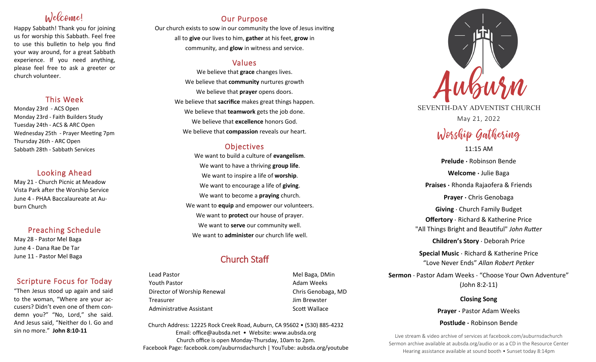# Welcome!

Happy Sabbath! Thank you for joining us for worship this Sabbath. Feel free to use this bulletin to help you find your way around, for a great Sabbath experience. If you need anything, please feel free to ask a greeter or church volunteer.

## This Week

Monday 23rd - ACS Open Monday 23rd - Faith Builders Study Tuesday 24th - ACS & ARC Open Wednesday 25th - Prayer Meeting 7pm Thursday 26th - ARC Open Sabbath 28th - Sabbath Services

## Looking Ahead

May 21 - Church Picnic at Meadow Vista Park after the Worship Service June 4 - PHAA Baccalaureate at Auburn Church

## Preaching Schedule

May 28 - Pastor Mel Baga June 4 - Dana Rae De Tar June 11 - Pastor Mel Baga

## Scripture Focus for Today

"Then Jesus stood up again and said to the woman, "Where are your accusers? Didn't even one of them condemn you?" "No, Lord," she said. And Jesus said, "Neither do I. Go and sin no more." **John 8:10-11**

## Our Purpose

Our church exists to sow in our community the love of Jesus inviting all to **give** our lives to him, **gather** at his feet, **grow** in community, and **glow** in witness and service.

## Values

We believe that **grace** changes lives. We believe that **community** nurtures growth We believe that **prayer** opens doors. We believe that **sacrifice** makes great things happen. We believe that **teamwork** gets the job done. We believe that **excellence** honors God. We believe that **compassion** reveals our heart.

## **Objectives**

We want to build a culture of **evangelism**. We want to have a thriving **group life**. We want to inspire a life of **worship**. We want to encourage a life of **giving**. We want to become a **praying** church. We want to **equip** and empower our volunteers. We want to **protect** our house of prayer. We want to **serve** our community well. We want to **administer** our church life well.

## Church Staff

Lead Pastor **Mel Baga, DMin** Youth Pastor **Adam Weeks Adam Weeks** Director of Worship Renewal **Chris Genobaga**, MD Treasurer Jim Brewster Administrative Assistant National Controllery Scott Wallace

Church Address: 12225 Rock Creek Road, Auburn, CA 95602 • (530) 885-4232 Email: office@aubsda.net • Website: www.aubsda.org Church office is open Monday-Thursday, 10am to 2pm. Facebook Page: facebook.com/auburnsdachurch | YouTube: aubsda.org/youtube



SEVENTH-DAY ADVENTIST CHURCH May 21, 2022

# Worship Gathering

11:15 AM **Prelude ·** Robinson Bende **Welcome ·** Julie Baga **Praises ·** Rhonda Rajaofera & Friends **Prayer ·** Chris Genobaga **Giving** · Church Family Budget **Offertory** · Richard & Katherine Price "All Things Bright and Beautiful" *John Rutter* **Children's Story** · Deborah Price **Special Music** · Richard & Katherine Price "Love Never Ends" *Allan Robert Petker* **Sermon** · Pastor Adam Weeks · "Choose Your Own Adventure"

(John 8:2-11)

**Closing Song Prayer ·** Pastor Adam Weeks **Postlude ·** Robinson Bende

Live stream & video archive of services at facebook.com/auburnsdachurch Sermon archive available at aubsda.org/audio or as a CD in the Resource Center Hearing assistance available at sound booth • Sunset today 8:14pm